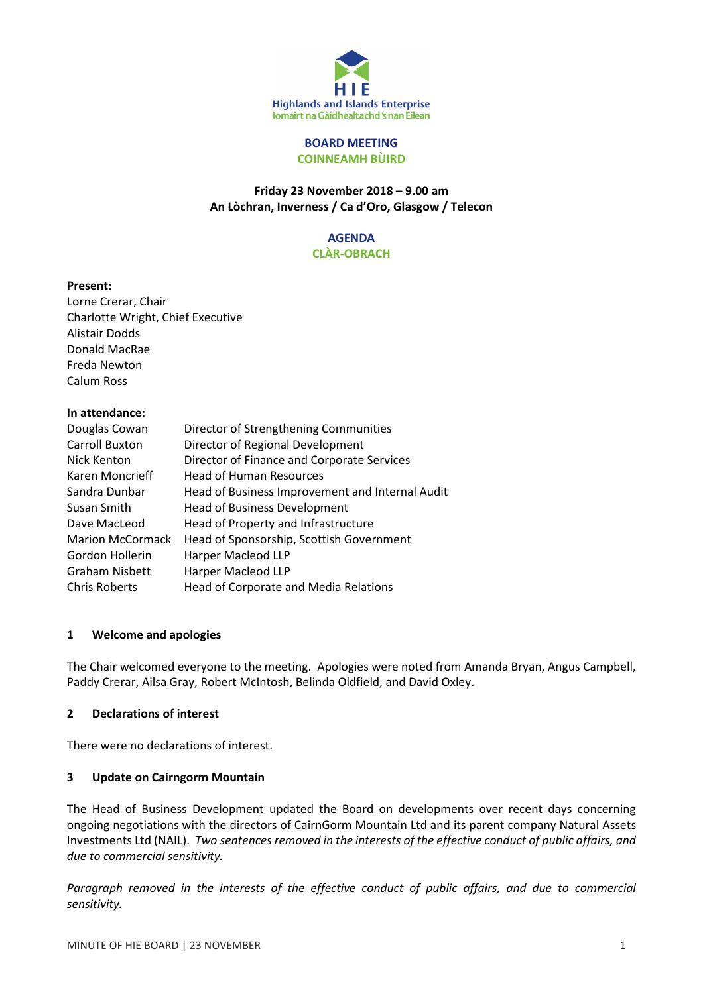

#### BOARD MEETING COINNEAMH BÙIRD

# Friday 23 November 2018 – 9.00 am An Lòchran, Inverness / Ca d'Oro, Glasgow / Telecon

#### AGENDA CLÀR-OBRACH

#### Present:

Lorne Crerar, Chair Charlotte Wright, Chief Executive Alistair Dodds Donald MacRae Freda Newton Calum Ross

## In attendance:

| Douglas Cowan           | Director of Strengthening Communities           |
|-------------------------|-------------------------------------------------|
| <b>Carroll Buxton</b>   | Director of Regional Development                |
| Nick Kenton             | Director of Finance and Corporate Services      |
| Karen Moncrieff         | <b>Head of Human Resources</b>                  |
| Sandra Dunbar           | Head of Business Improvement and Internal Audit |
| Susan Smith             | <b>Head of Business Development</b>             |
| Dave MacLeod            | Head of Property and Infrastructure             |
| <b>Marion McCormack</b> | Head of Sponsorship, Scottish Government        |
| Gordon Hollerin         | Harper Macleod LLP                              |
| <b>Graham Nisbett</b>   | <b>Harper Macleod LLP</b>                       |
| <b>Chris Roberts</b>    | Head of Corporate and Media Relations           |

## 1 Welcome and apologies

The Chair welcomed everyone to the meeting. Apologies were noted from Amanda Bryan, Angus Campbell, Paddy Crerar, Ailsa Gray, Robert McIntosh, Belinda Oldfield, and David Oxley.

## 2 Declarations of interest

There were no declarations of interest.

## 3 Update on Cairngorm Mountain

The Head of Business Development updated the Board on developments over recent days concerning ongoing negotiations with the directors of CairnGorm Mountain Ltd and its parent company Natural Assets Investments Ltd (NAIL). Two sentences removed in the interests of the effective conduct of public affairs, and due to commercial sensitivity.

Paragraph removed in the interests of the effective conduct of public affairs, and due to commercial sensitivity.